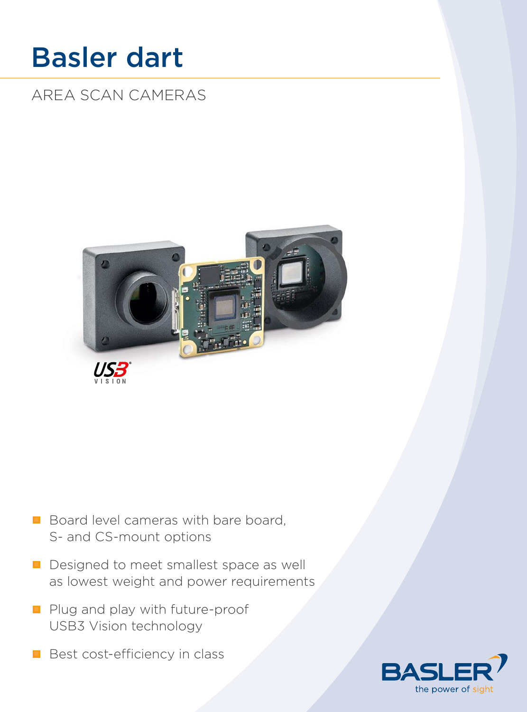# Basler dart

# AREA SCAN CAMERAS



- Board level cameras with bare board, S- and CS-mount options
- Designed to meet smallest space as well as lowest weight and power requirements
- Plug and play with future-proof USB3 Vision technology
- **Best cost-efficiency in class**

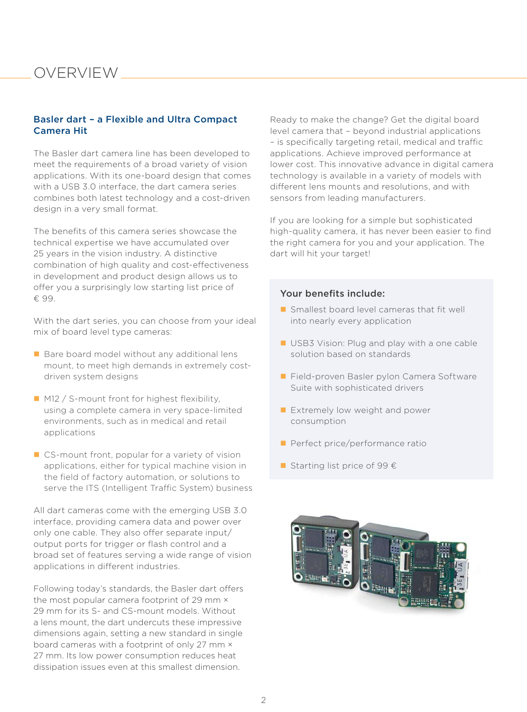### OVERVIEW

#### Basler dart – a Flexible and Ultra Compact Camera Hit

The Basler dart camera line has been developed to meet the requirements of a broad variety of vision applications. With its one-board design that comes with a USB 3.0 interface, the dart camera series combines both latest technology and a cost-driven design in a very small format.

The benefits of this camera series showcase the technical expertise we have accumulated over 25 years in the vision industry. A distinctive combination of high quality and cost-effectiveness in development and product design allows us to offer you a surprisingly low starting list price of € 99.

With the dart series, you can choose from your ideal mix of board level type cameras:

- Bare board model without any additional lens mount, to meet high demands in extremely costdriven system designs
- M12 / S-mount front for highest flexibility, using a complete camera in very space-limited environments, such as in medical and retail applications
- CS-mount front, popular for a variety of vision applications, either for typical machine vision in the field of factory automation, or solutions to serve the ITS (Intelligent Traffic System) business

All dart cameras come with the emerging USB 3.0 interface, providing camera data and power over only one cable. They also offer separate input/ output ports for trigger or flash control and a broad set of features serving a wide range of vision applications in different industries.

Following today's standards, the Basler dart offers the most popular camera footprint of 29 mm  $\times$ 29 mm for its S- and CS-mount models. Without a lens mount, the dart undercuts these impressive dimensions again, setting a new standard in single board cameras with a footprint of only 27 mm × 27 mm. Its low power consumption reduces heat dissipation issues even at this smallest dimension.

Ready to make the change? Get the digital board level camera that – beyond industrial applications – is specifically targeting retail, medical and traffic applications. Achieve improved performance at lower cost. This innovative advance in digital camera technology is available in a variety of models with different lens mounts and resolutions, and with sensors from leading manufacturers.

If you are looking for a simple but sophisticated high-quality camera, it has never been easier to find the right camera for you and your application. The dart will hit your target!

#### Your benefits include:

- $\blacksquare$  Smallest board level cameras that fit well into nearly every application
- USB3 Vision: Plug and play with a one cable solution based on standards
- Field-proven Basler pylon Camera Software Suite with sophisticated drivers
- Extremely low weight and power consumption
- **Perfect price/performance ratio**
- Starting list price of 99  $\epsilon$

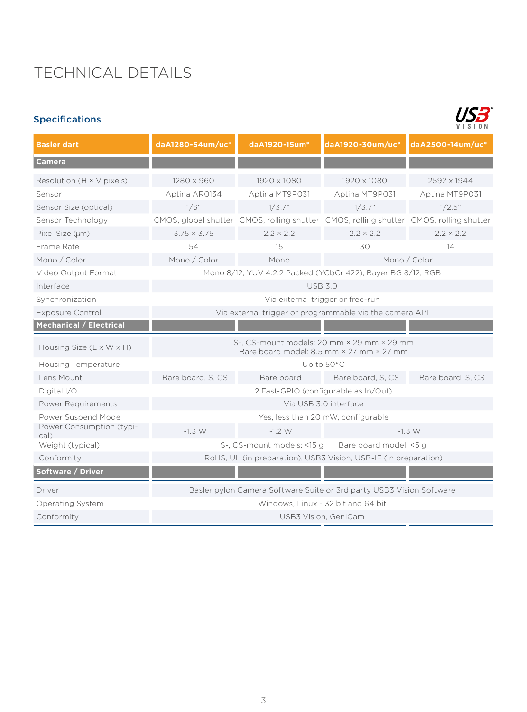# TECHNICAL DETAILS

### Specifications



| <b>Basler dart</b>                   | daA1280-54um/uc*                                                                       | daA1920-15um*              | daA1920-30um/uc*                                                                       | daA2500-14um/uc*  |  |
|--------------------------------------|----------------------------------------------------------------------------------------|----------------------------|----------------------------------------------------------------------------------------|-------------------|--|
| <b>Camera</b>                        |                                                                                        |                            |                                                                                        |                   |  |
| Resolution ( $H \times V$ pixels)    | 1280 x 960                                                                             | 1920 x 1080                | 1920 x 1080                                                                            | 2592 x 1944       |  |
| Sensor                               | Aptina AR0134                                                                          | Aptina MT9P031             | Aptina MT9P031                                                                         | Aptina MT9P031    |  |
| Sensor Size (optical)                | 1/3''                                                                                  | 1/3.7"                     | 1/3.7"                                                                                 | $1/2.5$ "         |  |
| Sensor Technology                    |                                                                                        |                            | CMOS, global shutter CMOS, rolling shutter CMOS, rolling shutter CMOS, rolling shutter |                   |  |
| Pixel Size (µm)                      | $3.75 \times 3.75$                                                                     | $2.2 \times 2.2$           | $2.2 \times 2.2$                                                                       | $2.2 \times 2.2$  |  |
| Frame Rate                           | 54                                                                                     | 15                         | 30                                                                                     | 14                |  |
| Mono / Color                         | Mono / Color                                                                           | Mono                       | Mono / Color                                                                           |                   |  |
| Video Output Format                  | Mono 8/12, YUV 4:2:2 Packed (YCbCr 422), Bayer BG 8/12, RGB                            |                            |                                                                                        |                   |  |
| Interface                            | <b>USB 3.0</b>                                                                         |                            |                                                                                        |                   |  |
| Synchronization                      | Via external trigger or free-run                                                       |                            |                                                                                        |                   |  |
| <b>Exposure Control</b>              | Via external trigger or programmable via the camera API                                |                            |                                                                                        |                   |  |
| <b>Mechanical / Electrical</b>       |                                                                                        |                            |                                                                                        |                   |  |
| Housing Size $(L \times W \times H)$ | S-, CS-mount models: 20 mm × 29 mm × 29 mm<br>Bare board model: 8.5 mm × 27 mm × 27 mm |                            |                                                                                        |                   |  |
| <b>Housing Temperature</b>           | Up to 50°C                                                                             |                            |                                                                                        |                   |  |
| Lens Mount                           | Bare board, S, CS                                                                      | Bare board                 | Bare board, S, CS                                                                      | Bare board, S, CS |  |
| Digital I/O                          | 2 Fast-GPIO (configurable as In/Out)                                                   |                            |                                                                                        |                   |  |
| Power Requirements                   | Via USB 3.0 interface                                                                  |                            |                                                                                        |                   |  |
| Power Suspend Mode                   | Yes, less than 20 mW, configurable                                                     |                            |                                                                                        |                   |  |
| Power Consumption (typi-<br>cal)     | $-1.3 W$                                                                               | $-1.2 W$                   | $-1.3 W$                                                                               |                   |  |
| Weight (typical)                     |                                                                                        | S-, CS-mount models: <15 g | Bare board model: <5 g                                                                 |                   |  |
| Conformity                           | RoHS, UL (in preparation), USB3 Vision, USB-IF (in preparation)                        |                            |                                                                                        |                   |  |
| Software / Driver                    |                                                                                        |                            |                                                                                        |                   |  |
| Driver                               | Basler pylon Camera Software Suite or 3rd party USB3 Vision Software                   |                            |                                                                                        |                   |  |
| Operating System                     | Windows, Linux - 32 bit and 64 bit                                                     |                            |                                                                                        |                   |  |
| Conformity                           | USB3 Vision, GenICam                                                                   |                            |                                                                                        |                   |  |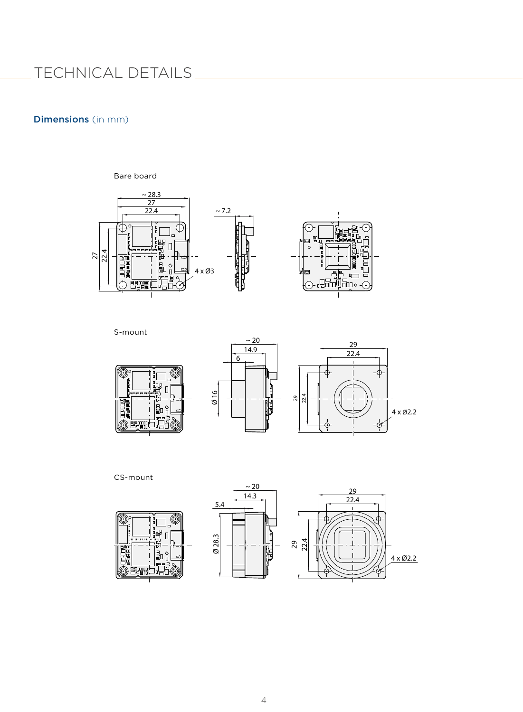## TECHNICAL DETAILS

#### Dimensions (in mm)

Bare board



S-mount







CS-mount





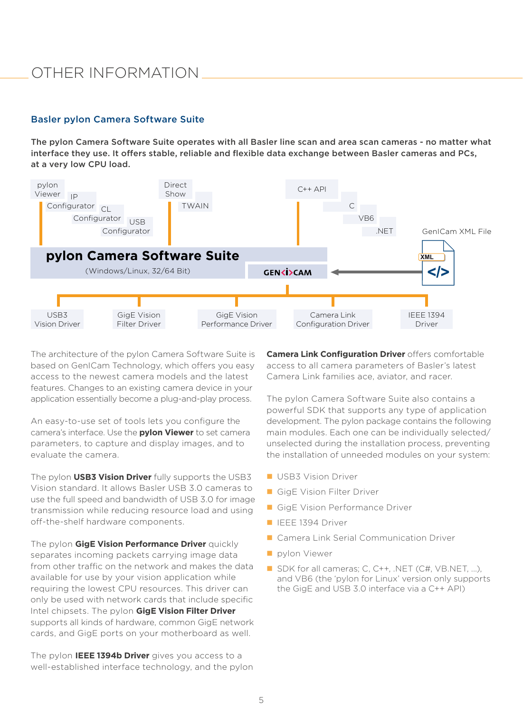### OTHER INFORMATION

#### Basler pylon Camera Software Suite

The pylon Camera Software Suite operates with all Basler line scan and area scan cameras - no matter what interface they use. It offers stable, reliable and flexible data exchange between Basler cameras and PCs, at a very low CPU load.



The architecture of the pylon Camera Software Suite is based on GenICam Technology, which offers you easy access to the newest camera models and the latest features. Changes to an existing camera device in your application essentially become a plug-and-play process.

An easy-to-use set of tools lets you configure the camera's interface. Use the **pylon Viewer** to set camera parameters, to capture and display images, and to evaluate the camera.

The pylon **USB3 Vision Driver** fully supports the USB3 Vision standard. It allows Basler USB 3.0 cameras to use the full speed and bandwidth of USB 3.0 for image transmission while reducing resource load and using off-the-shelf hardware components.

The pylon **GigE Vision Performance Driver** quickly separates incoming packets carrying image data from other traffic on the network and makes the data available for use by your vision application while requiring the lowest CPU resources. This driver can only be used with network cards that include specific Intel chipsets. The pylon **GigE Vision Filter Driver**  supports all kinds of hardware, common GigE network cards, and GigE ports on your motherboard as well.

The pylon **IEEE 1394b Driver** gives you access to a well-established interface technology, and the pylon **Camera Link Configuration Driver** offers comfortable access to all camera parameters of Basler's latest Camera Link families ace, aviator, and racer.

The pylon Camera Software Suite also contains a powerful SDK that supports any type of application development. The pylon package contains the following main modules. Each one can be individually selected/ unselected during the installation process, preventing the installation of unneeded modules on your system:

- **USB3 Vision Driver**
- GigE Vision Filter Driver
- GigE Vision Performance Driver
- **IEEE 1394 Driver**
- Camera Link Serial Communication Driver
- **pylon Viewer**
- SDK for all cameras; C, C++, .NET (C#, VB.NET, ...), and VB6 (the 'pylon for Linux' version only supports the GigE and USB 3.0 interface via a C++ API)